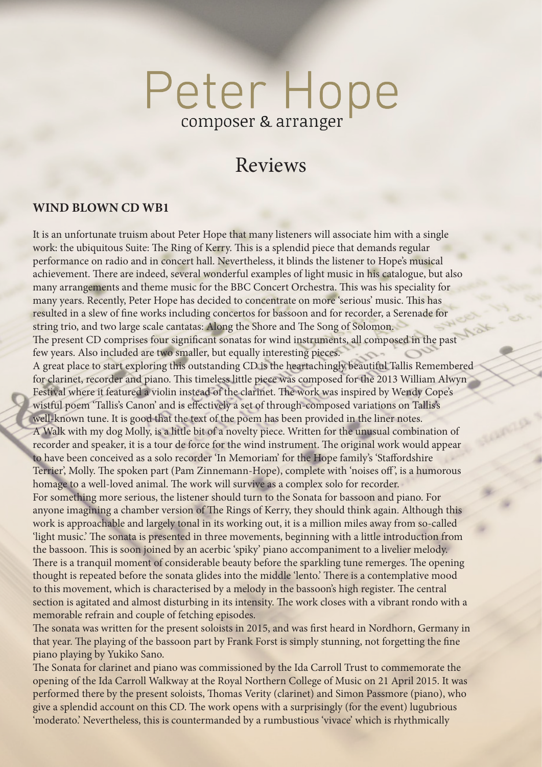# Peter Hope composer & arranger

# Reviews

#### **WIND BLOWN CD WB1**

It is an unfortunate truism about Peter Hope that many listeners will associate him with a single work: the ubiquitous Suite: The Ring of Kerry. This is a splendid piece that demands regular performance on radio and in concert hall. Nevertheless, it blinds the listener to Hope's musical achievement. There are indeed, several wonderful examples of light music in his catalogue, but also many arrangements and theme music for the BBC Concert Orchestra. This was his speciality for many years. Recently, Peter Hope has decided to concentrate on more 'serious' music. This has resulted in a slew of fine works including concertos for bassoon and for recorder, a Serenade for string trio, and two large scale cantatas: Along the Shore and The Song of Solomon. The present CD comprises four significant sonatas for wind instruments, all composed in the past few years. Also included are two smaller, but equally interesting pieces. A great place to start exploring this outstanding CD is the heartachingly beautiful Tallis Remembered for clarinet, recorder and piano. This timeless little piece was composed for the 2013 William Alwyn Festival where it featured a violin instead of the clarinet. The work was inspired by Wendy Cope's wistful poem 'Tallis's Canon' and is effectively a set of through-composed variations on Tallis's well-known tune. It is good that the text of the poem has been provided in the liner notes. A Walk with my dog Molly, is a little bit of a novelty piece. Written for the unusual combination of recorder and speaker, it is a tour de force for the wind instrument. The original work would appear to have been conceived as a solo recorder 'In Memoriam' for the Hope family's 'Staffordshire Terrier', Molly. The spoken part (Pam Zinnemann-Hope), complete with 'noises off', is a humorous homage to a well-loved animal. The work will survive as a complex solo for recorder. For something more serious, the listener should turn to the Sonata for bassoon and piano. For anyone imagining a chamber version of The Rings of Kerry, they should think again. Although this work is approachable and largely tonal in its working out, it is a million miles away from so-called 'light music.' The sonata is presented in three movements, beginning with a little introduction from the bassoon. This is soon joined by an acerbic 'spiky' piano accompaniment to a livelier melody. There is a tranquil moment of considerable beauty before the sparkling tune remerges. The opening thought is repeated before the sonata glides into the middle 'lento.' There is a contemplative mood to this movement, which is characterised by a melody in the bassoon's high register. The central section is agitated and almost disturbing in its intensity. The work closes with a vibrant rondo with a memorable refrain and couple of fetching episodes.

The sonata was written for the present soloists in 2015, and was first heard in Nordhorn, Germany in that year. The playing of the bassoon part by Frank Forst is simply stunning, not forgetting the fine piano playing by Yukiko Sano.

The Sonata for clarinet and piano was commissioned by the Ida Carroll Trust to commemorate the opening of the Ida Carroll Walkway at the Royal Northern College of Music on 21 April 2015. It was performed there by the present soloists, Thomas Verity (clarinet) and Simon Passmore (piano), who give a splendid account on this CD. The work opens with a surprisingly (for the event) lugubrious 'moderato.' Nevertheless, this is countermanded by a rumbustious 'vivace' which is rhythmically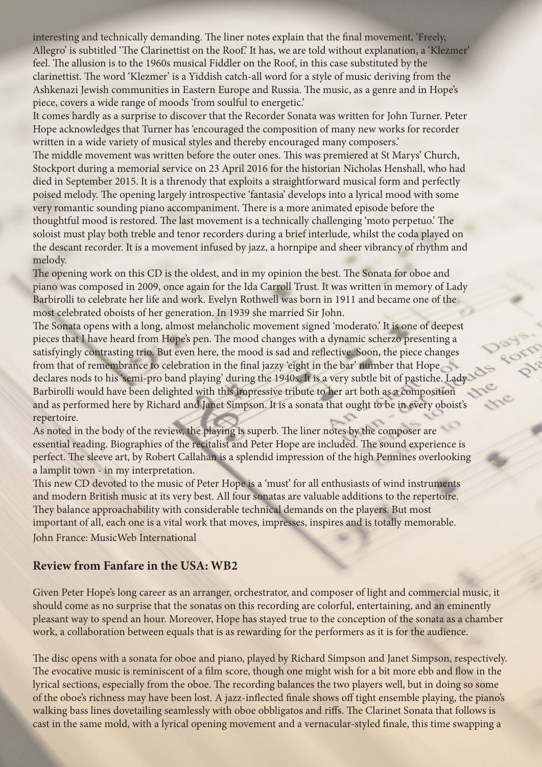interesting and technically demanding. The liner notes explain that the final movement, 'Freely, Allegro' is subtitled 'The Clarinettist on the Roof.' It has, we are told without explanation, a 'Klezmer' feel. The allusion is to the 1960s musical Fiddler on the Roof, in this case substituted by the clarinettist. The word 'Klezmer' is a Yiddish catch-all word for a style of music deriving from the Ashkenazi Jewish communities in Eastern Europe and Russia. The music, as a genre and in Hope's piece, covers a wide range of moods 'from soulful to energetic.'

It comes hardly as a surprise to discover that the Recorder Sonata was written for John Turner. Peter Hope acknowledges that Turner has 'encouraged the composition of many new works for recorder written in a wide variety of musical styles and thereby encouraged many composers.'

The middle movement was written before the outer ones. This was premiered at St Marys' Church, Stockport during a memorial service on 23 April 2016 for the historian Nicholas Henshall, who had died in September 2015. It is a threnody that exploits a straightforward musical form and perfectly poised melody. The opening largely introspective 'fantasia' develops into a lyrical mood with some very romantic sounding piano accompaniment. There is a more animated episode before the thoughtful mood is restored. The last movement is a technically challenging 'moto perpetuo.' The soloist must play both treble and tenor recorders during a brief interlude, whilst the coda played on the descant recorder. It is a movement infused by jazz, a hornpipe and sheer vibrancy of rhythm and melody.

The opening work on this CD is the oldest, and in my opinion the best. The Sonata for oboe and piano was composed in 2009, once again for the Ida Carroll Trust. It was written in memory of Lady Barbirolli to celebrate her life and work. Evelyn Rothwell was born in 1911 and became one of the most celebrated oboists of her generation. In 1939 she married Sir John.

The Sonata opens with a long, almost melancholic movement signed 'moderato.' It is one of deepest pieces that I have heard from Hope's pen. The mood changes with a dynamic scherzo presenting a satisfyingly contrasting trio. But even here, the mood is sad and reflective. Soon, the piece changes from that of remembrance to celebration in the final jazzy 'eight in the bar' number that Hope declares nods to his 'semi-pro band playing' during the 1940s. It is a very subtle bit of pastiche. Lady Barbirolli would have been delighted with this impressive tribute to her art both as a composition and as performed here by Richard and Janet Simpson. It is a sonata that ought to be in every oboist's repertoire.

As noted in the body of the review, the playing is superb. The liner notes by the composer are essential reading. Biographies of the recitalist and Peter Hope are included. The sound experience is perfect. The sleeve art, by Robert Callahan is a splendid impression of the high Pennines overlooking a lamplit town - in my interpretation.

This new CD devoted to the music of Peter Hope is a 'must' for all enthusiasts of wind instruments and modern British music at its very best. All four sonatas are valuable additions to the repertoire. They balance approachability with considerable technical demands on the players. But most important of all, each one is a vital work that moves, impresses, inspires and is totally memorable. John France: MusicWeb International

# **Review from Fanfare in the USA: WB2**

Given Peter Hope's long career as an arranger, orchestrator, and composer of light and commercial music, it should come as no surprise that the sonatas on this recording are colorful, entertaining, and an eminently pleasant way to spend an hour. Moreover, Hope has stayed true to the conception of the sonata as a chamber work, a collaboration between equals that is as rewarding for the performers as it is for the audience.

The disc opens with a sonata for oboe and piano, played by Richard Simpson and Janet Simpson, respectively. The evocative music is reminiscent of a film score, though one might wish for a bit more ebb and flow in the lyrical sections, especially from the oboe. The recording balances the two players well, but in doing so some of the oboe's richness may have been lost. A jazz-inflected finale shows off tight ensemble playing, the piano's walking bass lines dovetailing seamlessly with oboe obbligatos and riffs. The Clarinet Sonata that follows is cast in the same mold, with a lyrical opening movement and a vernacular-styled finale, this time swapping a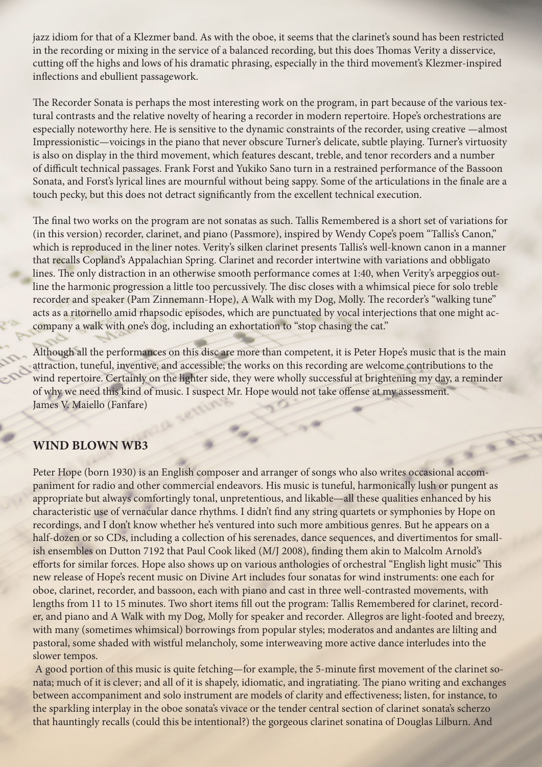jazz idiom for that of a Klezmer band. As with the oboe, it seems that the clarinet's sound has been restricted in the recording or mixing in the service of a balanced recording, but this does Thomas Verity a disservice, cutting off the highs and lows of his dramatic phrasing, especially in the third movement's Klezmer-inspired inflections and ebullient passagework.

The Recorder Sonata is perhaps the most interesting work on the program, in part because of the various textural contrasts and the relative novelty of hearing a recorder in modern repertoire. Hope's orchestrations are especially noteworthy here. He is sensitive to the dynamic constraints of the recorder, using creative —almost Impressionistic—voicings in the piano that never obscure Turner's delicate, subtle playing. Turner's virtuosity is also on display in the third movement, which features descant, treble, and tenor recorders and a number of difficult technical passages. Frank Forst and Yukiko Sano turn in a restrained performance of the Bassoon Sonata, and Forst's lyrical lines are mournful without being sappy. Some of the articulations in the finale are a touch pecky, but this does not detract significantly from the excellent technical execution.

The final two works on the program are not sonatas as such. Tallis Remembered is a short set of variations for (in this version) recorder, clarinet, and piano (Passmore), inspired by Wendy Cope's poem "Tallis's Canon," which is reproduced in the liner notes. Verity's silken clarinet presents Tallis's well-known canon in a manner that recalls Copland's Appalachian Spring. Clarinet and recorder intertwine with variations and obbligato lines. The only distraction in an otherwise smooth performance comes at 1:40, when Verity's arpeggios outline the harmonic progression a little too percussively. The disc closes with a whimsical piece for solo treble recorder and speaker (Pam Zinnemann-Hope), A Walk with my Dog, Molly. The recorder's "walking tune" acts as a ritornello amid rhapsodic episodes, which are punctuated by vocal interjections that one might accompany a walk with one's dog, including an exhortation to "stop chasing the cat."

Although all the performances on this disc are more than competent, it is Peter Hope's music that is the main attraction, tuneful, inventive, and accessible; the works on this recording are welcome contributions to the wind repertoire. Certainly on the lighter side, they were wholly successful at brightening my day, a reminder of why we need this kind of music. I suspect Mr. Hope would not take offense at my assessment. James V. Maiello (Fanfare)

### **WIND BLOWN WB3**

Peter Hope (born 1930) is an English composer and arranger of songs who also writes occasional accompaniment for radio and other commercial endeavors. His music is tuneful, harmonically lush or pungent as appropriate but always comfortingly tonal, unpretentious, and likable—all these qualities enhanced by his characteristic use of vernacular dance rhythms. I didn't find any string quartets or symphonies by Hope on recordings, and I don't know whether he's ventured into such more ambitious genres. But he appears on a half-dozen or so CDs, including a collection of his serenades, dance sequences, and divertimentos for smallish ensembles on Dutton 7192 that Paul Cook liked (M/J 2008), finding them akin to Malcolm Arnold's efforts for similar forces. Hope also shows up on various anthologies of orchestral "English light music" This new release of Hope's recent music on Divine Art includes four sonatas for wind instruments: one each for oboe, clarinet, recorder, and bassoon, each with piano and cast in three well-contrasted movements, with lengths from 11 to 15 minutes. Two short items fill out the program: Tallis Remembered for clarinet, recorder, and piano and A Walk with my Dog, Molly for speaker and recorder. Allegros are light-footed and breezy, with many (sometimes whimsical) borrowings from popular styles; moderatos and andantes are lilting and pastoral, some shaded with wistful melancholy, some interweaving more active dance interludes into the slower tempos.

 A good portion of this music is quite fetching—for example, the 5-minute first movement of the clarinet sonata; much of it is clever; and all of it is shapely, idiomatic, and ingratiating. The piano writing and exchanges between accompaniment and solo instrument are models of clarity and effectiveness; listen, for instance, to the sparkling interplay in the oboe sonata's vivace or the tender central section of clarinet sonata's scherzo that hauntingly recalls (could this be intentional?) the gorgeous clarinet sonatina of Douglas Lilburn. And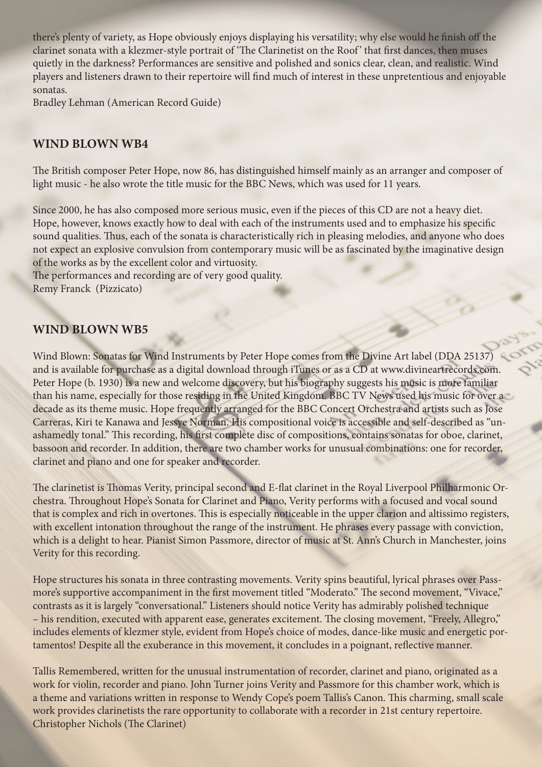there's plenty of variety, as Hope obviously enjoys displaying his versatility; why else would he finish off the clarinet sonata with a klezmer-style portrait of 'The Clarinetist on the Roof' that first dances, then muses quietly in the darkness? Performances are sensitive and polished and sonics clear, clean, and realistic. Wind players and listeners drawn to their repertoire will find much of interest in these unpretentious and enjoyable sonatas.

Bradley Lehman (American Record Guide)

# **WIND BLOWN WB4**

The British composer Peter Hope, now 86, has distinguished himself mainly as an arranger and composer of light music - he also wrote the title music for the BBC News, which was used for 11 years.

Since 2000, he has also composed more serious music, even if the pieces of this CD are not a heavy diet. Hope, however, knows exactly how to deal with each of the instruments used and to emphasize his specific sound qualities. Thus, each of the sonata is characteristically rich in pleasing melodies, and anyone who does not expect an explosive convulsion from contemporary music will be as fascinated by the imaginative design of the works as by the excellent color and virtuosity.

The performances and recording are of very good quality. Remy Franck (Pizzicato)

# **WIND BLOWN WB5**

Wind Blown: Sonatas for Wind Instruments by Peter Hope comes from the Divine Art label (DDA 25137) and is available for purchase as a digital download through iTunes or as a CD at www.divineartrecords.com. Peter Hope (b. 1930) is a new and welcome discovery, but his biography suggests his music is more familiar than his name, especially for those residing in the United Kingdom. BBC TV News used his music for over a decade as its theme music. Hope frequently arranged for the BBC Concert Orchestra and artists such as Jose Carreras, Kiri te Kanawa and Jessye Norman. His compositional voice is accessible and self-described as "unashamedly tonal." This recording, his first complete disc of compositions, contains sonatas for oboe, clarinet, bassoon and recorder. In addition, there are two chamber works for unusual combinations: one for recorder, clarinet and piano and one for speaker and recorder.

The clarinetist is Thomas Verity, principal second and E-flat clarinet in the Royal Liverpool Philharmonic Orchestra. Throughout Hope's Sonata for Clarinet and Piano, Verity performs with a focused and vocal sound that is complex and rich in overtones. This is especially noticeable in the upper clarion and altissimo registers, with excellent intonation throughout the range of the instrument. He phrases every passage with conviction, which is a delight to hear. Pianist Simon Passmore, director of music at St. Ann's Church in Manchester, joins Verity for this recording.

Hope structures his sonata in three contrasting movements. Verity spins beautiful, lyrical phrases over Passmore's supportive accompaniment in the first movement titled "Moderato." The second movement, "Vivace," contrasts as it is largely "conversational." Listeners should notice Verity has admirably polished technique – his rendition, executed with apparent ease, generates excitement. The closing movement, "Freely, Allegro," includes elements of klezmer style, evident from Hope's choice of modes, dance-like music and energetic portamentos! Despite all the exuberance in this movement, it concludes in a poignant, reflective manner.

Tallis Remembered, written for the unusual instrumentation of recorder, clarinet and piano, originated as a work for violin, recorder and piano. John Turner joins Verity and Passmore for this chamber work, which is a theme and variations written in response to Wendy Cope's poem Tallis's Canon. This charming, small scale work provides clarinetists the rare opportunity to collaborate with a recorder in 21st century repertoire. Christopher Nichols (The Clarinet)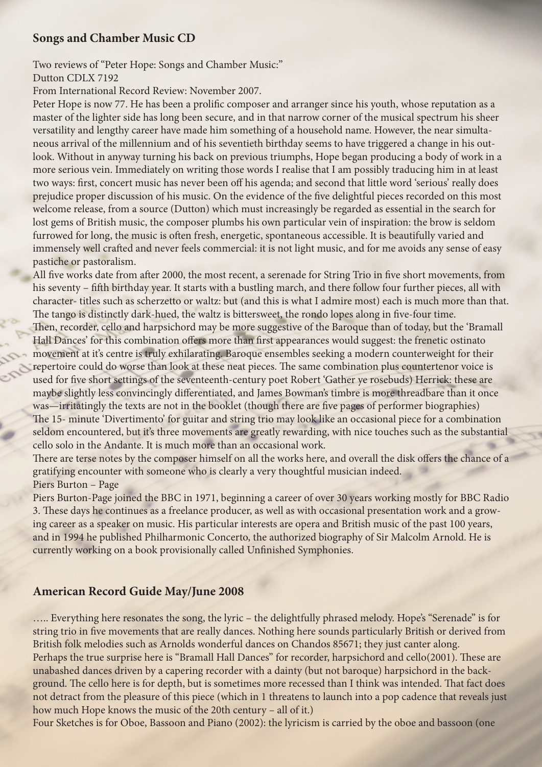#### **Songs and Chamber Music CD**

Two reviews of "Peter Hope: Songs and Chamber Music:" Dutton CDLX 7192

From International Record Review: November 2007.

Peter Hope is now 77. He has been a prolific composer and arranger since his youth, whose reputation as a master of the lighter side has long been secure, and in that narrow corner of the musical spectrum his sheer versatility and lengthy career have made him something of a household name. However, the near simultaneous arrival of the millennium and of his seventieth birthday seems to have triggered a change in his outlook. Without in anyway turning his back on previous triumphs, Hope began producing a body of work in a more serious vein. Immediately on writing those words I realise that I am possibly traducing him in at least two ways: first, concert music has never been off his agenda; and second that little word 'serious' really does prejudice proper discussion of his music. On the evidence of the five delightful pieces recorded on this most welcome release, from a source (Dutton) which must increasingly be regarded as essential in the search for lost gems of British music, the composer plumbs his own particular vein of inspiration: the brow is seldom furrowed for long, the music is often fresh, energetic, spontaneous accessible. It is beautifully varied and immensely well crafted and never feels commercial: it is not light music, and for me avoids any sense of easy pastiche or pastoralism.

All five works date from after 2000, the most recent, a serenade for String Trio in five short movements, from his seventy – fifth birthday year. It starts with a bustling march, and there follow four further pieces, all with character- titles such as scherzetto or waltz: but (and this is what I admire most) each is much more than that. The tango is distinctly dark-hued, the waltz is bittersweet, the rondo lopes along in five-four time. Then, recorder, cello and harpsichord may be more suggestive of the Baroque than of today, but the 'Bramall Hall Dances' for this combination offers more than first appearances would suggest: the frenetic ostinato

movement at it's centre is truly exhilarating. Baroque ensembles seeking a modern counterweight for their repertoire could do worse than look at these neat pieces. The same combination plus countertenor voice is used for five short settings of the seventeenth-century poet Robert 'Gather ye rosebuds) Herrick: these are maybe slightly less convincingly differentiated, and James Bowman's timbre is more threadbare than it once was—irritatingly the texts are not in the booklet (though there are five pages of performer biographies) The 15- minute 'Divertimento' for guitar and string trio may look like an occasional piece for a combination seldom encountered, but it's three movements are greatly rewarding, with nice touches such as the substantial cello solo in the Andante. It is much more than an occasional work.

There are terse notes by the composer himself on all the works here, and overall the disk offers the chance of a gratifying encounter with someone who is clearly a very thoughtful musician indeed. Piers Burton – Page

Piers Burton-Page joined the BBC in 1971, beginning a career of over 30 years working mostly for BBC Radio 3. These days he continues as a freelance producer, as well as with occasional presentation work and a growing career as a speaker on music. His particular interests are opera and British music of the past 100 years, and in 1994 he published Philharmonic Concerto, the authorized biography of Sir Malcolm Arnold. He is currently working on a book provisionally called Unfinished Symphonies.

### **American Record Guide May/June 2008**

….. Everything here resonates the song, the lyric – the delightfully phrased melody. Hope's "Serenade" is for string trio in five movements that are really dances. Nothing here sounds particularly British or derived from British folk melodies such as Arnolds wonderful dances on Chandos 85671; they just canter along. Perhaps the true surprise here is "Bramall Hall Dances" for recorder, harpsichord and cello(2001). These are unabashed dances driven by a capering recorder with a dainty (but not baroque) harpsichord in the background. The cello here is for depth, but is sometimes more recessed than I think was intended. That fact does not detract from the pleasure of this piece (which in 1 threatens to launch into a pop cadence that reveals just how much Hope knows the music of the 20th century – all of it.)

Four Sketches is for Oboe, Bassoon and Piano (2002): the lyricism is carried by the oboe and bassoon (one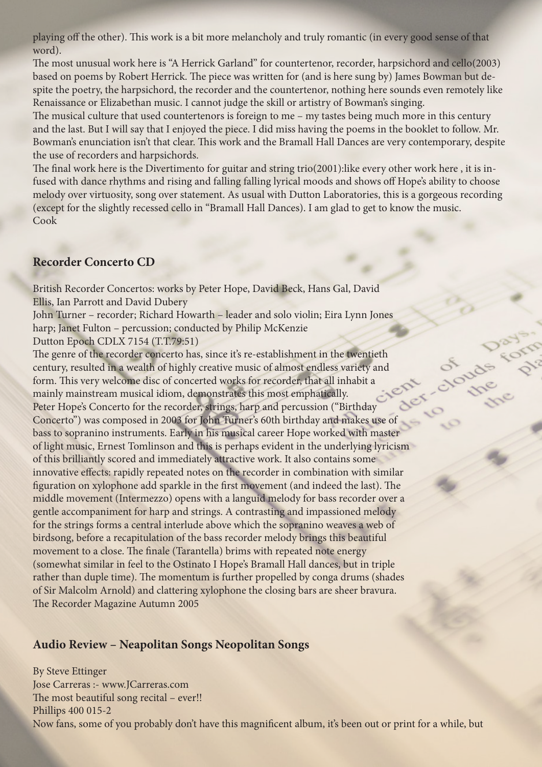playing off the other). This work is a bit more melancholy and truly romantic (in every good sense of that word).

The most unusual work here is "A Herrick Garland" for countertenor, recorder, harpsichord and cello(2003) based on poems by Robert Herrick. The piece was written for (and is here sung by) James Bowman but despite the poetry, the harpsichord, the recorder and the countertenor, nothing here sounds even remotely like Renaissance or Elizabethan music. I cannot judge the skill or artistry of Bowman's singing.

The musical culture that used countertenors is foreign to me – my tastes being much more in this century and the last. But I will say that I enjoyed the piece. I did miss having the poems in the booklet to follow. Mr. Bowman's enunciation isn't that clear. This work and the Bramall Hall Dances are very contemporary, despite the use of recorders and harpsichords.

The final work here is the Divertimento for guitar and string trio(2001):like every other work here , it is infused with dance rhythms and rising and falling falling lyrical moods and shows off Hope's ability to choose melody over virtuosity, song over statement. As usual with Dutton Laboratories, this is a gorgeous recording (except for the slightly recessed cello in "Bramall Hall Dances). I am glad to get to know the music. Cook

#### **Recorder Concerto CD**

British Recorder Concertos: works by Peter Hope, David Beck, Hans Gal, David Ellis, Ian Parrott and David Dubery

John Turner – recorder; Richard Howarth – leader and solo violin; Eira Lynn Jones harp; Janet Fulton – percussion; conducted by Philip McKenzie

Dutton Epoch CDLX 7154 (T.T.79:51)

The genre of the recorder concerto has, since it's re-establishment in the twentieth century, resulted in a wealth of highly creative music of almost endless variety and form. This very welcome disc of concerted works for recorder, that all inhabit a mainly mainstream musical idiom, demonstrates this most emphatically. Peter Hope's Concerto for the recorder, strings, harp and percussion ("Birthday Concerto") was composed in 2003 for John Turner's 60th birthday and makes use of bass to sopranino instruments. Early in his musical career Hope worked with master of light music, Ernest Tomlinson and this is perhaps evident in the underlying lyricism of this brilliantly scored and immediately attractive work. It also contains some innovative effects: rapidly repeated notes on the recorder in combination with similar figuration on xylophone add sparkle in the first movement (and indeed the last). The middle movement (Intermezzo) opens with a languid melody for bass recorder over a gentle accompaniment for harp and strings. A contrasting and impassioned melody for the strings forms a central interlude above which the sopranino weaves a web of birdsong, before a recapitulation of the bass recorder melody brings this beautiful movement to a close. The finale (Tarantella) brims with repeated note energy (somewhat similar in feel to the Ostinato I Hope's Bramall Hall dances, but in triple rather than duple time). The momentum is further propelled by conga drums (shades of Sir Malcolm Arnold) and clattering xylophone the closing bars are sheer bravura. The Recorder Magazine Autumn 2005

#### **Audio Review – Neapolitan Songs Neopolitan Songs**

By Steve Ettinger Jose Carreras :- www.JCarreras.com The most beautiful song recital – ever!! Phillips 400 015-2 Now fans, some of you probably don't have this magnificent album, it's been out or print for a while, but